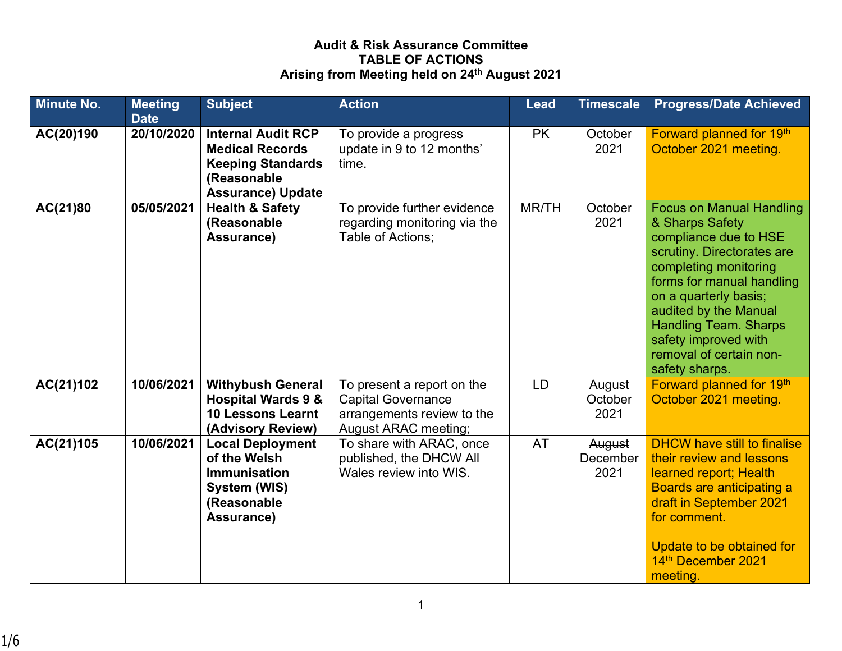## **Audit & Risk Assurance Committee TABLE OF ACTIONS Arising from Meeting held on 24th August 2021**

| <b>Minute No.</b> | <b>Meeting</b><br><b>Date</b> | <b>Subject</b>                                                                                                             | <b>Action</b>                                                                                                 | <b>Lead</b> | <b>Timescale</b>           | <b>Progress/Date Achieved</b>                                                                                                                                                                                                                                                                                          |
|-------------------|-------------------------------|----------------------------------------------------------------------------------------------------------------------------|---------------------------------------------------------------------------------------------------------------|-------------|----------------------------|------------------------------------------------------------------------------------------------------------------------------------------------------------------------------------------------------------------------------------------------------------------------------------------------------------------------|
| AC(20)190         | 20/10/2020                    | <b>Internal Audit RCP</b><br><b>Medical Records</b><br><b>Keeping Standards</b><br>(Reasonable<br><b>Assurance) Update</b> | To provide a progress<br>update in 9 to 12 months'<br>time.                                                   | <b>PK</b>   | October<br>2021            | Forward planned for 19th<br>October 2021 meeting.                                                                                                                                                                                                                                                                      |
| AC(21)80          | 05/05/2021                    | <b>Health &amp; Safety</b><br>(Reasonable<br>Assurance)                                                                    | To provide further evidence<br>regarding monitoring via the<br>Table of Actions;                              | MR/TH       | October<br>2021            | <b>Focus on Manual Handling</b><br>& Sharps Safety<br>compliance due to HSE<br>scrutiny. Directorates are<br>completing monitoring<br>forms for manual handling<br>on a quarterly basis;<br>audited by the Manual<br><b>Handling Team. Sharps</b><br>safety improved with<br>removal of certain non-<br>safety sharps. |
| AC(21)102         | 10/06/2021                    | <b>Withybush General</b><br><b>Hospital Wards 9 &amp;</b><br><b>10 Lessons Learnt</b><br>(Advisory Review)                 | To present a report on the<br><b>Capital Governance</b><br>arrangements review to the<br>August ARAC meeting; | LD          | August<br>October<br>2021  | Forward planned for 19th<br>October 2021 meeting.                                                                                                                                                                                                                                                                      |
| AC(21)105         | 10/06/2021                    | <b>Local Deployment</b><br>of the Welsh<br><b>Immunisation</b><br>System (WIS)<br>(Reasonable<br>Assurance)                | To share with ARAC, once<br>published, the DHCW All<br>Wales review into WIS.                                 | <b>AT</b>   | August<br>December<br>2021 | <b>DHCW have still to finalise</b><br>their review and lessons<br>learned report; Health<br>Boards are anticipating a<br>draft in September 2021<br>for comment.<br>Update to be obtained for<br>14th December 2021<br>meeting.                                                                                        |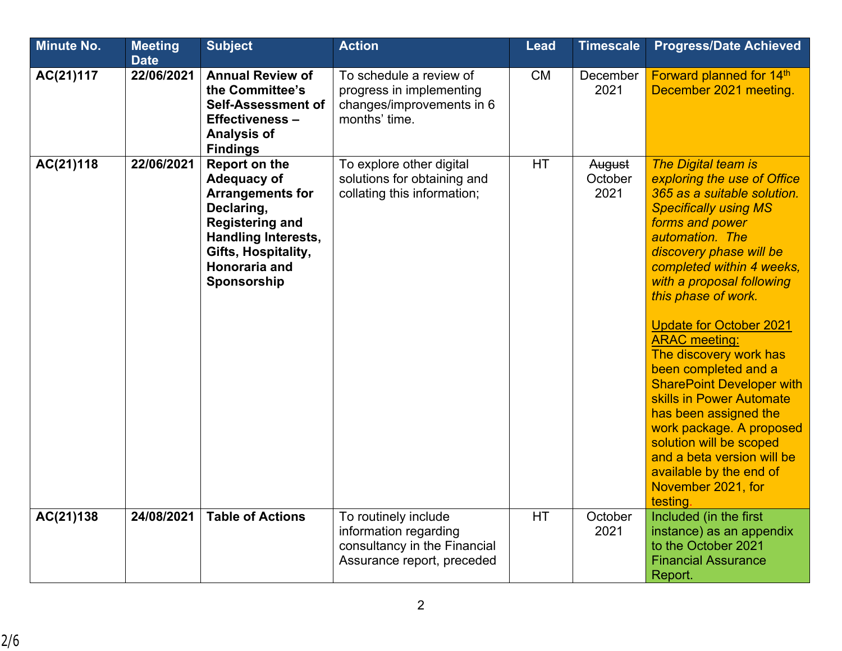| <b>Minute No.</b> | <b>Meeting</b><br><b>Date</b> | <b>Subject</b>                                                                                                                                                                                     | <b>Action</b>                                                                                               | <b>Lead</b> | <b>Timescale</b>          | <b>Progress/Date Achieved</b>                                                                                                                                                                                                                                                                                                                                                                                                                                                                                                                                                                                             |
|-------------------|-------------------------------|----------------------------------------------------------------------------------------------------------------------------------------------------------------------------------------------------|-------------------------------------------------------------------------------------------------------------|-------------|---------------------------|---------------------------------------------------------------------------------------------------------------------------------------------------------------------------------------------------------------------------------------------------------------------------------------------------------------------------------------------------------------------------------------------------------------------------------------------------------------------------------------------------------------------------------------------------------------------------------------------------------------------------|
| AC(21)117         | 22/06/2021                    | <b>Annual Review of</b><br>the Committee's<br><b>Self-Assessment of</b><br><b>Effectiveness-</b><br><b>Analysis of</b><br><b>Findings</b>                                                          | To schedule a review of<br>progress in implementing<br>changes/improvements in 6<br>months' time.           | <b>CM</b>   | December<br>2021          | Forward planned for 14th<br>December 2021 meeting.                                                                                                                                                                                                                                                                                                                                                                                                                                                                                                                                                                        |
| AC(21)118         | 22/06/2021                    | <b>Report on the</b><br>Adequacy of<br><b>Arrangements for</b><br>Declaring,<br><b>Registering and</b><br><b>Handling Interests,</b><br>Gifts, Hospitality,<br><b>Honoraria and</b><br>Sponsorship | To explore other digital<br>solutions for obtaining and<br>collating this information;                      | <b>HT</b>   | August<br>October<br>2021 | The Digital team is<br>exploring the use of Office<br>365 as a suitable solution.<br><b>Specifically using MS</b><br>forms and power<br>automation. The<br>discovery phase will be<br>completed within 4 weeks,<br>with a proposal following<br>this phase of work.<br><b>Update for October 2021</b><br><b>ARAC</b> meeting:<br>The discovery work has<br>been completed and a<br><b>SharePoint Developer with</b><br>skills in Power Automate<br>has been assigned the<br>work package. A proposed<br>solution will be scoped<br>and a beta version will be<br>available by the end of<br>November 2021, for<br>testing |
| AC(21)138         | 24/08/2021                    | <b>Table of Actions</b>                                                                                                                                                                            | To routinely include<br>information regarding<br>consultancy in the Financial<br>Assurance report, preceded | HT          | October<br>2021           | Included (in the first<br>instance) as an appendix<br>to the October 2021<br><b>Financial Assurance</b><br>Report.                                                                                                                                                                                                                                                                                                                                                                                                                                                                                                        |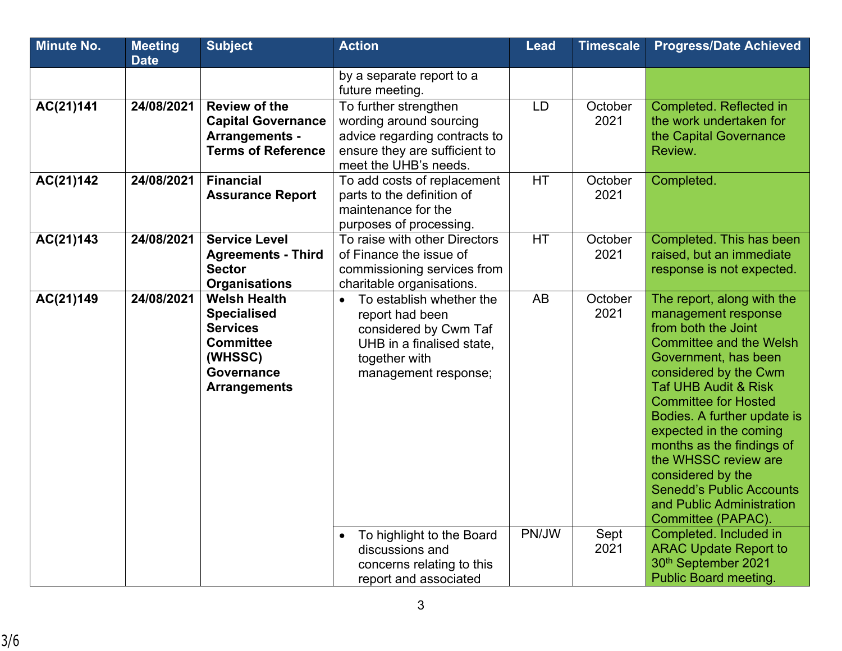| <b>Minute No.</b> | <b>Meeting</b> | <b>Subject</b>                                                                                                                          | <b>Action</b>                                                                                                                                           | <b>Lead</b> | <b>Timescale</b> | <b>Progress/Date Achieved</b>                                                                                                                                                                                                                                                                                                                                                                                                                          |
|-------------------|----------------|-----------------------------------------------------------------------------------------------------------------------------------------|---------------------------------------------------------------------------------------------------------------------------------------------------------|-------------|------------------|--------------------------------------------------------------------------------------------------------------------------------------------------------------------------------------------------------------------------------------------------------------------------------------------------------------------------------------------------------------------------------------------------------------------------------------------------------|
|                   | <b>Date</b>    |                                                                                                                                         |                                                                                                                                                         |             |                  |                                                                                                                                                                                                                                                                                                                                                                                                                                                        |
|                   |                |                                                                                                                                         | by a separate report to a<br>future meeting.                                                                                                            |             |                  |                                                                                                                                                                                                                                                                                                                                                                                                                                                        |
| AC(21)141         | 24/08/2021     | <b>Review of the</b><br><b>Capital Governance</b><br>Arrangements -<br><b>Terms of Reference</b>                                        | To further strengthen<br>wording around sourcing<br>advice regarding contracts to<br>ensure they are sufficient to<br>meet the UHB's needs.             | LD          | October<br>2021  | Completed. Reflected in<br>the work undertaken for<br>the Capital Governance<br>Review.                                                                                                                                                                                                                                                                                                                                                                |
| AC(21)142         | 24/08/2021     | <b>Financial</b><br><b>Assurance Report</b>                                                                                             | To add costs of replacement<br>parts to the definition of<br>maintenance for the<br>purposes of processing.                                             | <b>HT</b>   | October<br>2021  | Completed.                                                                                                                                                                                                                                                                                                                                                                                                                                             |
| AC(21)143         | 24/08/2021     | <b>Service Level</b><br><b>Agreements - Third</b><br><b>Sector</b><br><b>Organisations</b>                                              | To raise with other Directors<br>of Finance the issue of<br>commissioning services from<br>charitable organisations.                                    | <b>HT</b>   | October<br>2021  | Completed. This has been<br>raised, but an immediate<br>response is not expected.                                                                                                                                                                                                                                                                                                                                                                      |
| AC(21)149         | 24/08/2021     | <b>Welsh Health</b><br><b>Specialised</b><br><b>Services</b><br><b>Committee</b><br>(WHSSC)<br><b>Governance</b><br><b>Arrangements</b> | To establish whether the<br>$\bullet$<br>report had been<br>considered by Cwm Taf<br>UHB in a finalised state,<br>together with<br>management response; | AB          | October<br>2021  | The report, along with the<br>management response<br>from both the Joint<br><b>Committee and the Welsh</b><br>Government, has been<br>considered by the Cwm<br><b>Taf UHB Audit &amp; Risk</b><br><b>Committee for Hosted</b><br>Bodies. A further update is<br>expected in the coming<br>months as the findings of<br>the WHSSC review are<br>considered by the<br><b>Senedd's Public Accounts</b><br>and Public Administration<br>Committee (PAPAC). |
|                   |                |                                                                                                                                         | To highlight to the Board<br>$\bullet$<br>discussions and<br>concerns relating to this<br>report and associated                                         | PN/JW       | Sept<br>2021     | Completed. Included in<br><b>ARAC Update Report to</b><br>30th September 2021<br><b>Public Board meeting</b>                                                                                                                                                                                                                                                                                                                                           |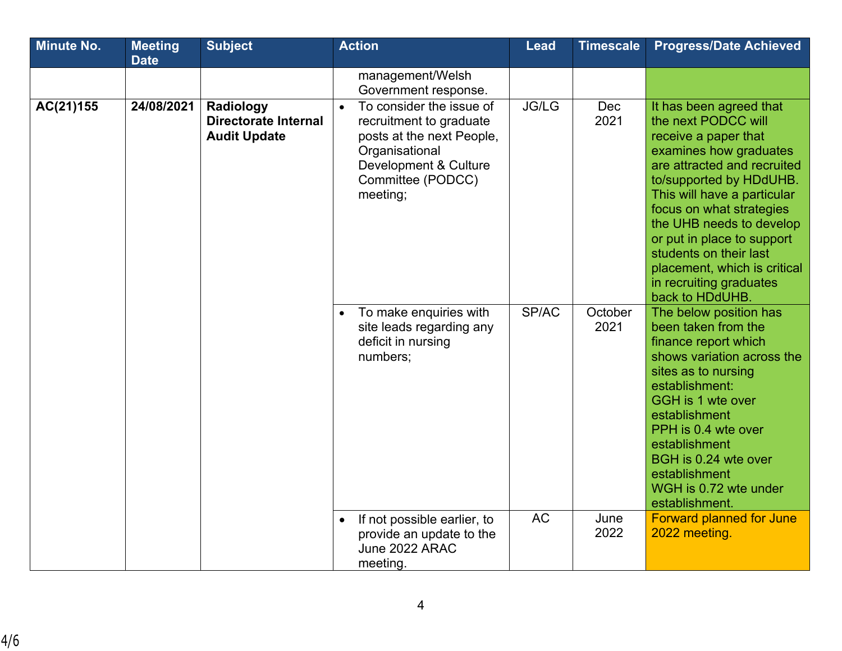| <b>Minute No.</b> | <b>Meeting</b><br><b>Date</b> | <b>Subject</b>                                           | <b>Action</b>                                                                                                                                                             | <b>Lead</b>  | <b>Timescale</b> | <b>Progress/Date Achieved</b>                                                                                                                                                                                                                                                                                                                                                           |
|-------------------|-------------------------------|----------------------------------------------------------|---------------------------------------------------------------------------------------------------------------------------------------------------------------------------|--------------|------------------|-----------------------------------------------------------------------------------------------------------------------------------------------------------------------------------------------------------------------------------------------------------------------------------------------------------------------------------------------------------------------------------------|
|                   |                               |                                                          | management/Welsh<br>Government response.                                                                                                                                  |              |                  |                                                                                                                                                                                                                                                                                                                                                                                         |
| AC(21)155         | 24/08/2021                    | Radiology<br>Directorate Internal<br><b>Audit Update</b> | To consider the issue of<br>$\bullet$<br>recruitment to graduate<br>posts at the next People,<br>Organisational<br>Development & Culture<br>Committee (PODCC)<br>meeting; | <b>JG/LG</b> | Dec<br>2021      | It has been agreed that<br>the next PODCC will<br>receive a paper that<br>examines how graduates<br>are attracted and recruited<br>to/supported by HDdUHB.<br>This will have a particular<br>focus on what strategies<br>the UHB needs to develop<br>or put in place to support<br>students on their last<br>placement, which is critical<br>in recruiting graduates<br>back to HDdUHB. |
|                   |                               |                                                          | To make enquiries with<br>$\bullet$<br>site leads regarding any<br>deficit in nursing<br>numbers;                                                                         | SP/AC        | October<br>2021  | The below position has<br>been taken from the<br>finance report which<br>shows variation across the<br>sites as to nursing<br>establishment:<br>GGH is 1 wte over<br>establishment<br>PPH is 0.4 wte over<br>establishment<br>BGH is 0.24 wte over<br>establishment<br>WGH is 0.72 wte under<br>establishment.                                                                          |
|                   |                               |                                                          | If not possible earlier, to<br>$\bullet$<br>provide an update to the<br>June 2022 ARAC<br>meeting.                                                                        | <b>AC</b>    | June<br>2022     | <b>Forward planned for June</b><br>2022 meeting.                                                                                                                                                                                                                                                                                                                                        |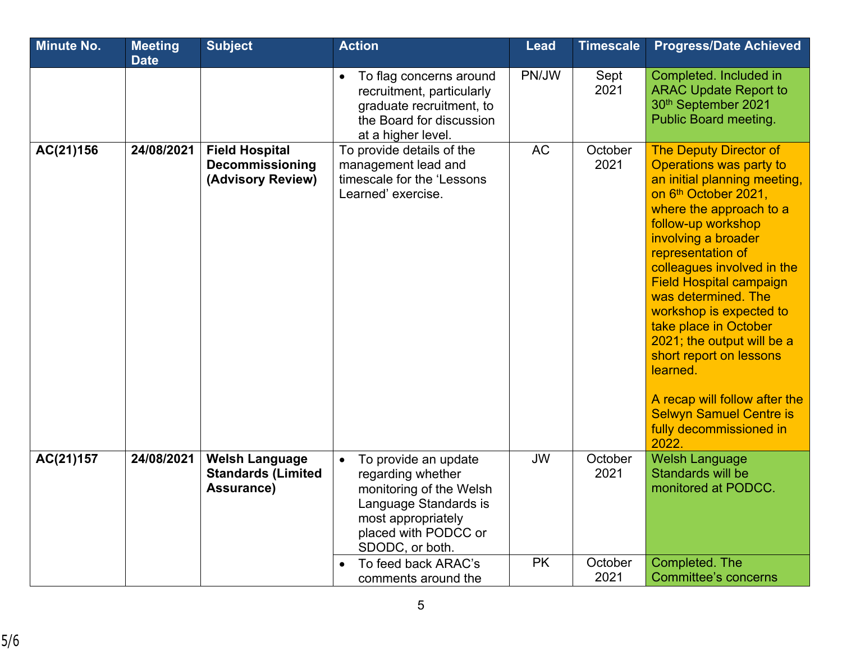| <b>Minute No.</b> | <b>Meeting</b><br><b>Date</b> | <b>Subject</b>                                                   | <b>Action</b>                                                                                                                                                                                      | <b>Lead</b>            | <b>Timescale</b>           | <b>Progress/Date Achieved</b>                                                                                                                                                                                                                                                                                                                                                                                                                                                                                                        |
|-------------------|-------------------------------|------------------------------------------------------------------|----------------------------------------------------------------------------------------------------------------------------------------------------------------------------------------------------|------------------------|----------------------------|--------------------------------------------------------------------------------------------------------------------------------------------------------------------------------------------------------------------------------------------------------------------------------------------------------------------------------------------------------------------------------------------------------------------------------------------------------------------------------------------------------------------------------------|
|                   |                               |                                                                  | To flag concerns around<br>$\bullet$<br>recruitment, particularly<br>graduate recruitment, to<br>the Board for discussion<br>at a higher level.                                                    | PN/JW                  | Sept<br>2021               | Completed. Included in<br><b>ARAC Update Report to</b><br>30th September 2021<br><b>Public Board meeting.</b>                                                                                                                                                                                                                                                                                                                                                                                                                        |
| AC(21)156         | 24/08/2021                    | <b>Field Hospital</b><br>Decommissioning<br>(Advisory Review)    | To provide details of the<br>management lead and<br>timescale for the 'Lessons<br>Learned' exercise.                                                                                               | <b>AC</b>              | October<br>2021            | <b>The Deputy Director of</b><br>Operations was party to<br>an initial planning meeting,<br>on 6th October 2021,<br>where the approach to a<br>follow-up workshop<br>involving a broader<br>representation of<br>colleagues involved in the<br><b>Field Hospital campaign</b><br>was determined. The<br>workshop is expected to<br>take place in October<br>2021; the output will be a<br>short report on lessons<br>learned.<br>A recap will follow after the<br><b>Selwyn Samuel Centre is</b><br>fully decommissioned in<br>2022. |
| AC(21)157         | 24/08/2021                    | <b>Welsh Language</b><br><b>Standards (Limited</b><br>Assurance) | To provide an update<br>$\bullet$<br>regarding whether<br>monitoring of the Welsh<br>Language Standards is<br>most appropriately<br>placed with PODCC or<br>SDODC, or both.<br>To feed back ARAC's | <b>JW</b><br><b>PK</b> | October<br>2021<br>October | <b>Welsh Language</b><br>Standards will be<br>monitored at PODCC.<br>Completed. The                                                                                                                                                                                                                                                                                                                                                                                                                                                  |
|                   |                               |                                                                  | comments around the                                                                                                                                                                                |                        | 2021                       | <b>Committee's concerns</b>                                                                                                                                                                                                                                                                                                                                                                                                                                                                                                          |